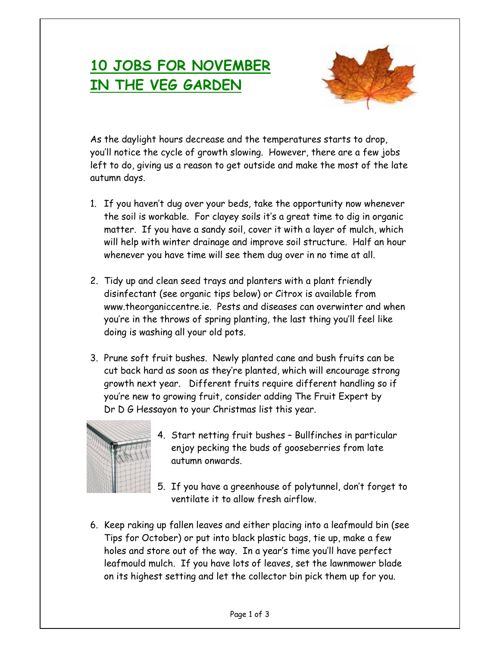## **10 JOBS FOR NOVEMBER IN THE VEG GARDEN**



As the daylight hours decrease and the temperatures starts to drop, you'll notice the cycle of growth slowing. However, there are a few jobs left to do, giving us a reason to get outside and make the most of the late autumn days.

- 1. If you haven't dug over your beds, take the opportunity now whenever the soil is workable. For clayey soils it's a great time to dig in organic matter. If you have a sandy soil, cover it with a layer of mulch, which will help with winter drainage and improve soil structure. Half an hour whenever you have time will see them dug over in no time at all.
- 2. Tidy up and clean seed trays and planters with a plant friendly disinfectant (see organic tips below) or Citrox is available from www.theorganiccentre.ie. Pests and diseases can overwinter and when you're in the throws of spring planting, the last thing you'll feel like doing is washing all your old pots.
- 3. Prune soft fruit bushes. Newly planted cane and bush fruits can be cut back hard as soon as they're planted, which will encourage strong growth next year. Different fruits require different handling so if you're new to growing fruit, consider adding The Fruit Expert by Dr D G Hessayon to your Christmas list this year.



- 4. Start netting fruit bushes Bullfinches in particular enjoy pecking the buds of gooseberries from late autumn onwards.
- 5. If you have a greenhouse of polytunnel, don't forget to ventilate it to allow fresh airflow.
- 6. Keep raking up fallen leaves and either placing into a leafmould bin (see Tips for October) or put into black plastic bags, tie up, make a few holes and store out of the way. In a year's time you'll have perfect leafmould mulch. If you have lots of leaves, set the lawnmower blade on its highest setting and let the collector bin pick them up for you.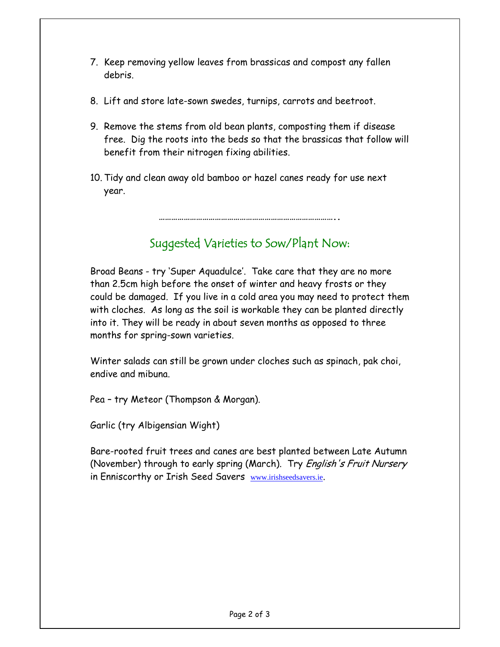- 7. Keep removing yellow leaves from brassicas and compost any fallen debris.
- 8. Lift and store late-sown swedes, turnips, carrots and beetroot.
- 9. Remove the stems from old bean plants, composting them if disease free. Dig the roots into the beds so that the brassicas that follow will benefit from their nitrogen fixing abilities.
- 10. Tidy and clean away old bamboo or hazel canes ready for use next year.

## Suggested Varieties to Sow/Plant Now:

**…………………………………………………………………………..** 

Broad Beans - try 'Super Aquadulce'. Take care that they are no more than 2.5cm high before the onset of winter and heavy frosts or they could be damaged. If you live in a cold area you may need to protect them with cloches. As long as the soil is workable they can be planted directly into it. They will be ready in about seven months as opposed to three months for spring-sown varieties.

Winter salads can still be grown under cloches such as spinach, pak choi, endive and mibuna.

Pea – try Meteor (Thompson & Morgan).

Garlic (try Albigensian Wight)

Bare-rooted fruit trees and canes are best planted between Late Autumn (November) through to early spring (March). Try *English's Fruit Nursery* in Enniscorthy or Irish Seed Savers www.irishseedsavers.ie.